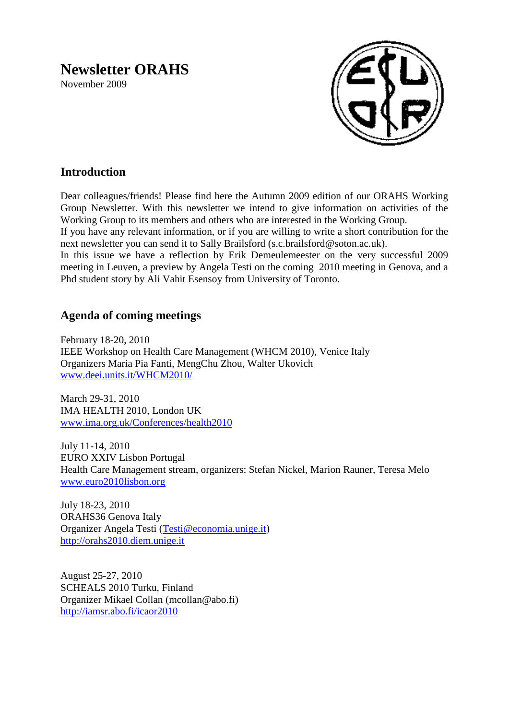# **Newsletter ORAHS**

November 2009



# **Introduction**

Dear colleagues/friends! Please find here the Autumn 2009 edition of our ORAHS Working Group Newsletter. With this newsletter we intend to give information on activities of the Working Group to its members and others who are interested in the Working Group.

If you have any relevant information, or if you are willing to write a short contribution for the next newsletter you can send it to Sally Brailsford (s.c.brailsford@soton.ac.uk).

In this issue we have a reflection by Erik Demeulemeester on the very successful 2009 meeting in Leuven, a preview by Angela Testi on the coming 2010 meeting in Genova, and a Phd student story by Ali Vahit Esensoy from University of Toronto.

# **Agenda of coming meetings**

February 18-20, 2010 IEEE Workshop on Health Care Management (WHCM 2010), Venice Italy Organizers Maria Pia Fanti, MengChu Zhou, Walter Ukovich [www.deei.units.it/WHCM2010/](http://www.deei.units.it/WHCM2010/)

March 29-31, 2010 IMA HEALTH 2010, London UK [www.ima.org.uk/Conferences/health2010](http://www.ima.org.uk/Conferences/health2010)

July 11-14, 2010 EURO XXIV Lisbon Portugal Health Care Management stream, organizers: Stefan Nickel, Marion Rauner, Teresa Melo [www.euro2010lisbon.org](http://www.euro2010lisbon.org/)

July 18-23, 2010 ORAHS36 Genova Italy Organizer Angela Testi [\(Testi@economia.unige.it\)](mailto:Testi@economia.unige.it) [http://orahs2010.diem.unige.it](http://orahs2010.diem.unige.it/)

August 25-27, 2010 SCHEALS 2010 Turku, Finland Organizer Mikael Collan (mcollan@abo.fi) <http://iamsr.abo.fi/icaor2010>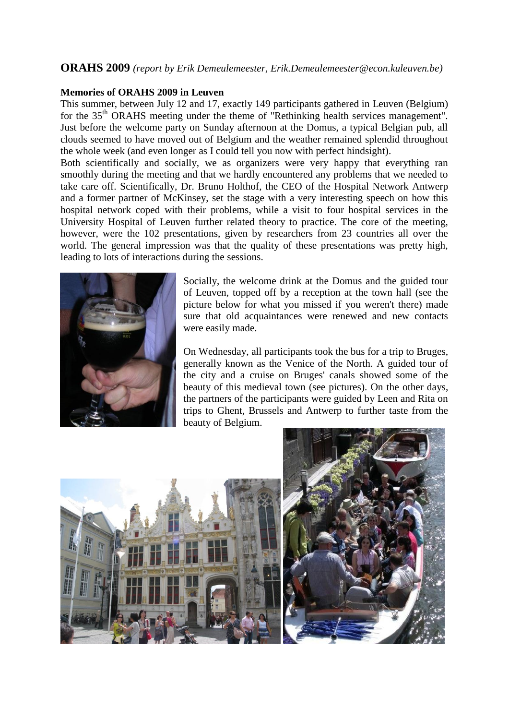# **ORAHS 2009** *(report by Erik Demeulemeester, Erik.Demeulemeester@econ.kuleuven.be)*

#### **Memories of ORAHS 2009 in Leuven**

This summer, between July 12 and 17, exactly 149 participants gathered in Leuven (Belgium) for the 35<sup>th</sup> ORAHS meeting under the theme of "Rethinking health services management". Just before the welcome party on Sunday afternoon at the Domus, a typical Belgian pub, all clouds seemed to have moved out of Belgium and the weather remained splendid throughout the whole week (and even longer as I could tell you now with perfect hindsight).

Both scientifically and socially, we as organizers were very happy that everything ran smoothly during the meeting and that we hardly encountered any problems that we needed to take care off. Scientifically, Dr. Bruno Holthof, the CEO of the Hospital Network Antwerp and a former partner of McKinsey, set the stage with a very interesting speech on how this hospital network coped with their problems, while a visit to four hospital services in the University Hospital of Leuven further related theory to practice. The core of the meeting, however, were the 102 presentations, given by researchers from 23 countries all over the world. The general impression was that the quality of these presentations was pretty high, leading to lots of interactions during the sessions.



Socially, the welcome drink at the Domus and the guided tour of Leuven, topped off by a reception at the town hall (see the picture below for what you missed if you weren't there) made sure that old acquaintances were renewed and new contacts were easily made.

On Wednesday, all participants took the bus for a trip to Bruges, generally known as the Venice of the North. A guided tour of the city and a cruise on Bruges' canals showed some of the beauty of this medieval town (see pictures). On the other days, the partners of the participants were guided by Leen and Rita on trips to Ghent, Brussels and Antwerp to further taste from the beauty of Belgium.

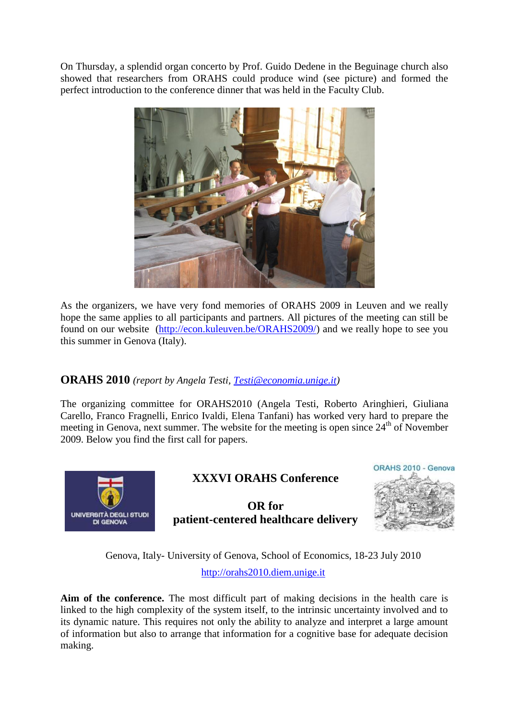On Thursday, a splendid organ concerto by Prof. Guido Dedene in the Beguinage church also showed that researchers from ORAHS could produce wind (see picture) and formed the perfect introduction to the conference dinner that was held in the Faculty Club.



As the organizers, we have very fond memories of ORAHS 2009 in Leuven and we really hope the same applies to all participants and partners. All pictures of the meeting can still be found on our website [\(http://econ.kuleuven.be/ORAHS2009/\)](http://econ.kuleuven.be/ORAHS2009/) and we really hope to see you this summer in Genova (Italy).

# **ORAHS 2010** *(report by Angela Testi, [Testi@economia.unige.it\)](mailto:Testi@economia.unige.it)*

The organizing committee for ORAHS2010 (Angela Testi, Roberto Aringhieri, Giuliana Carello, Franco Fragnelli, Enrico Ivaldi, Elena Tanfani) has worked very hard to prepare the meeting in Genova, next summer. The website for the meeting is open since  $24<sup>th</sup>$  of November 2009. Below you find the first call for papers.



# **XXXVI ORAHS Conference**

**OR for patient-centered healthcare delivery**



Genova, Italy- University of Genova, School of Economics, 18-23 July 2010 [http://orahs2010.diem.unige.it](http://orahs2010.diem.unige.it/)

**Aim of the conference.** The most difficult part of making decisions in the health care is linked to the high complexity of the system itself, to the intrinsic uncertainty involved and to its dynamic nature. This requires not only the ability to analyze and interpret a large amount of information but also to arrange that information for a cognitive base for adequate decision making.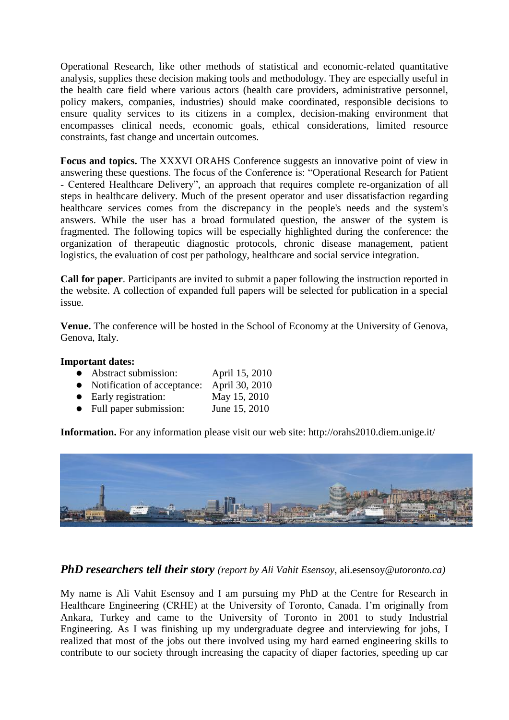Operational Research, like other methods of statistical and economic-related quantitative analysis, supplies these decision making tools and methodology. They are especially useful in the health care field where various actors (health care providers, administrative personnel, policy makers, companies, industries) should make coordinated, responsible decisions to ensure quality services to its citizens in a complex, decision-making environment that encompasses clinical needs, economic goals, ethical considerations, limited resource constraints, fast change and uncertain outcomes.

**Focus and topics.** The XXXVI ORAHS Conference suggests an innovative point of view in answering these questions. The focus of the Conference is: "Operational Research for Patient - Centered Healthcare Delivery", an approach that requires complete re-organization of all steps in healthcare delivery. Much of the present operator and user dissatisfaction regarding healthcare services comes from the discrepancy in the people's needs and the system's answers. While the user has a broad formulated question, the answer of the system is fragmented. The following topics will be especially highlighted during the conference: the organization of therapeutic diagnostic protocols, chronic disease management, patient logistics, the evaluation of cost per pathology, healthcare and social service integration.

**Call for paper**. Participants are invited to submit a paper following the instruction reported in the website. A collection of expanded full papers will be selected for publication in a special issue.

**Venue.** The conference will be hosted in the School of Economy at the University of Genova, Genova, Italy.

#### **Important dates:**

- Abstract submission: April 15, 2010
- Notification of acceptance: April 30, 2010
- Early registration: May 15, 2010
- Full paper submission: June 15, 2010

**Information.** For any information please visit our web site: http://orahs2010.diem.unige.it/



*PhD researchers tell their story (report by Ali Vahit Esensoy,* ali.esensoy*@utoronto.ca)*

My name is Ali Vahit Esensoy and I am pursuing my PhD at the Centre for Research in Healthcare Engineering (CRHE) at the University of Toronto, Canada. I"m originally from Ankara, Turkey and came to the University of Toronto in 2001 to study Industrial Engineering. As I was finishing up my undergraduate degree and interviewing for jobs, I realized that most of the jobs out there involved using my hard earned engineering skills to contribute to our society through increasing the capacity of diaper factories, speeding up car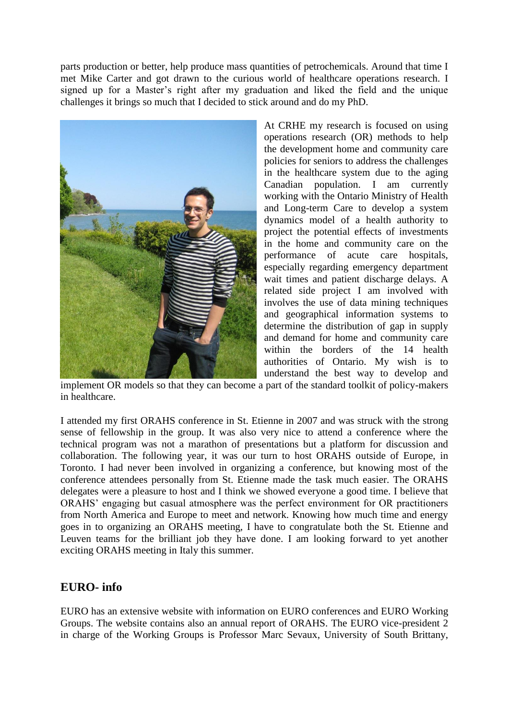parts production or better, help produce mass quantities of petrochemicals. Around that time I met Mike Carter and got drawn to the curious world of healthcare operations research. I signed up for a Master's right after my graduation and liked the field and the unique challenges it brings so much that I decided to stick around and do my PhD.



At CRHE my research is focused on using operations research (OR) methods to help the development home and community care policies for seniors to address the challenges in the healthcare system due to the aging Canadian population. I am currently working with the Ontario Ministry of Health and Long-term Care to develop a system dynamics model of a health authority to project the potential effects of investments in the home and community care on the performance of acute care hospitals, especially regarding emergency department wait times and patient discharge delays. A related side project I am involved with involves the use of data mining techniques and geographical information systems to determine the distribution of gap in supply and demand for home and community care within the borders of the 14 health authorities of Ontario. My wish is to understand the best way to develop and

implement OR models so that they can become a part of the standard toolkit of policy-makers in healthcare.

I attended my first ORAHS conference in St. Etienne in 2007 and was struck with the strong sense of fellowship in the group. It was also very nice to attend a conference where the technical program was not a marathon of presentations but a platform for discussion and collaboration. The following year, it was our turn to host ORAHS outside of Europe, in Toronto. I had never been involved in organizing a conference, but knowing most of the conference attendees personally from St. Etienne made the task much easier. The ORAHS delegates were a pleasure to host and I think we showed everyone a good time. I believe that ORAHS" engaging but casual atmosphere was the perfect environment for OR practitioners from North America and Europe to meet and network. Knowing how much time and energy goes in to organizing an ORAHS meeting, I have to congratulate both the St. Etienne and Leuven teams for the brilliant job they have done. I am looking forward to yet another exciting ORAHS meeting in Italy this summer.

# **EURO- info**

EURO has an extensive website with information on EURO conferences and EURO Working Groups. The website contains also an annual report of ORAHS. The EURO vice-president 2 in charge of the Working Groups is Professor Marc Sevaux, University of South Brittany,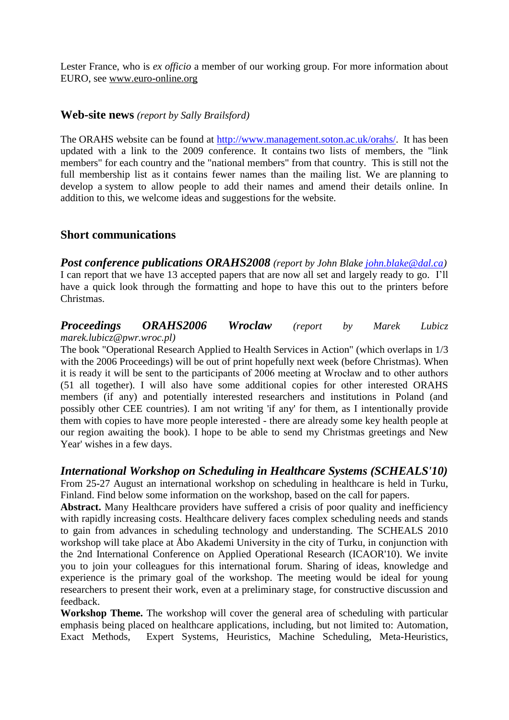Lester France, who is *ex officio* a member of our working group. For more information about EURO, see [www.euro-online.org](http://www.euro-online.org/) 

### **Web-site news** *(report by Sally Brailsford)*

The ORAHS website can be found at [http://www.management.soton.ac.uk/orahs/.](http://www.management.soton.ac.uk/orahs/) It has been updated with a link to the 2009 conference. It contains two lists of members, the "link members" for each country and the "national members" from that country. This is still not the full membership list as it contains fewer names than the mailing list. We are planning to develop a system to allow people to add their names and amend their details online. In addition to this, we welcome ideas and suggestions for the website.

## **Short communications**

*Post conference publications ORAHS2008 (report by John Blake [john.blake@dal.ca\)](mailto:john.blake@dal.ca)* I can report that we have 13 accepted papers that are now all set and largely ready to go. I"ll have a quick look through the formatting and hope to have this out to the printers before Christmas.

#### *Proceedings ORAHS2006 Wroclaw (report by Marek Lubicz marek.lubicz@pwr.wroc.pl)*

The book "Operational Research Applied to Health Services in Action" (which overlaps in 1/3 with the 2006 Proceedings) will be out of print hopefully next week (before Christmas). When it is ready it will be sent to the participants of 2006 meeting at Wrocław and to other authors (51 all together). I will also have some additional copies for other interested ORAHS members (if any) and potentially interested researchers and institutions in Poland (and possibly other CEE countries). I am not writing 'if any' for them, as I intentionally provide them with copies to have more people interested - there are already some key health people at our region awaiting the book). I hope to be able to send my Christmas greetings and New Year' wishes in a few days.

### *International Workshop on Scheduling in Healthcare Systems (SCHEALS'10)*

From 25-27 August an international workshop on scheduling in healthcare is held in Turku, Finland. Find below some information on the workshop, based on the call for papers.

Abstract. Many Healthcare providers have suffered a crisis of poor quality and inefficiency with rapidly increasing costs. Healthcare delivery faces complex scheduling needs and stands to gain from advances in scheduling technology and understanding. The SCHEALS 2010 workshop will take place at Åbo Akademi University in the city of Turku, in conjunction with the 2nd International Conference on Applied Operational Research (ICAOR'10). We invite you to join your colleagues for this international forum. Sharing of ideas, knowledge and experience is the primary goal of the workshop. The meeting would be ideal for young researchers to present their work, even at a preliminary stage, for constructive discussion and feedback.

**Workshop Theme.** The workshop will cover the general area of scheduling with particular emphasis being placed on healthcare applications, including, but not limited to: Automation, Exact Methods, Expert Systems, Heuristics, Machine Scheduling, Meta-Heuristics,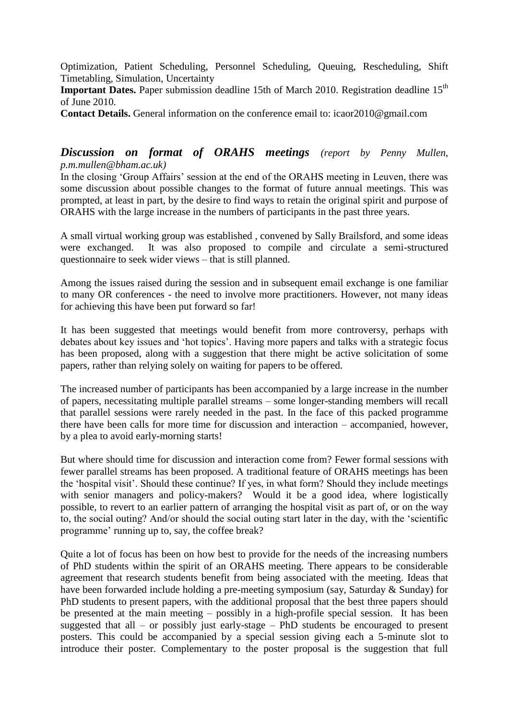Optimization, Patient Scheduling, Personnel Scheduling, Queuing, Rescheduling, Shift Timetabling, Simulation, Uncertainty

**Important Dates.** Paper submission deadline 15th of March 2010. Registration deadline 15<sup>th</sup> of June 2010.

**Contact Details.** General information on the conference email to: icaor2010@gmail.com

## *Discussion on format of ORAHS meetings (report by Penny Mullen, p.m.mullen@bham.ac.uk)*

In the closing "Group Affairs" session at the end of the ORAHS meeting in Leuven, there was some discussion about possible changes to the format of future annual meetings. This was prompted, at least in part, by the desire to find ways to retain the original spirit and purpose of ORAHS with the large increase in the numbers of participants in the past three years.

A small virtual working group was established , convened by Sally Brailsford, and some ideas were exchanged. It was also proposed to compile and circulate a semi-structured questionnaire to seek wider views – that is still planned.

Among the issues raised during the session and in subsequent email exchange is one familiar to many OR conferences - the need to involve more practitioners. However, not many ideas for achieving this have been put forward so far!

It has been suggested that meetings would benefit from more controversy, perhaps with debates about key issues and "hot topics". Having more papers and talks with a strategic focus has been proposed, along with a suggestion that there might be active solicitation of some papers, rather than relying solely on waiting for papers to be offered.

The increased number of participants has been accompanied by a large increase in the number of papers, necessitating multiple parallel streams – some longer-standing members will recall that parallel sessions were rarely needed in the past. In the face of this packed programme there have been calls for more time for discussion and interaction – accompanied, however, by a plea to avoid early-morning starts!

But where should time for discussion and interaction come from? Fewer formal sessions with fewer parallel streams has been proposed. A traditional feature of ORAHS meetings has been the "hospital visit". Should these continue? If yes, in what form? Should they include meetings with senior managers and policy-makers? Would it be a good idea, where logistically possible, to revert to an earlier pattern of arranging the hospital visit as part of, or on the way to, the social outing? And/or should the social outing start later in the day, with the "scientific programme" running up to, say, the coffee break?

Quite a lot of focus has been on how best to provide for the needs of the increasing numbers of PhD students within the spirit of an ORAHS meeting. There appears to be considerable agreement that research students benefit from being associated with the meeting. Ideas that have been forwarded include holding a pre-meeting symposium (say, Saturday & Sunday) for PhD students to present papers, with the additional proposal that the best three papers should be presented at the main meeting – possibly in a high-profile special session. It has been suggested that all – or possibly just early-stage – PhD students be encouraged to present posters. This could be accompanied by a special session giving each a 5-minute slot to introduce their poster. Complementary to the poster proposal is the suggestion that full